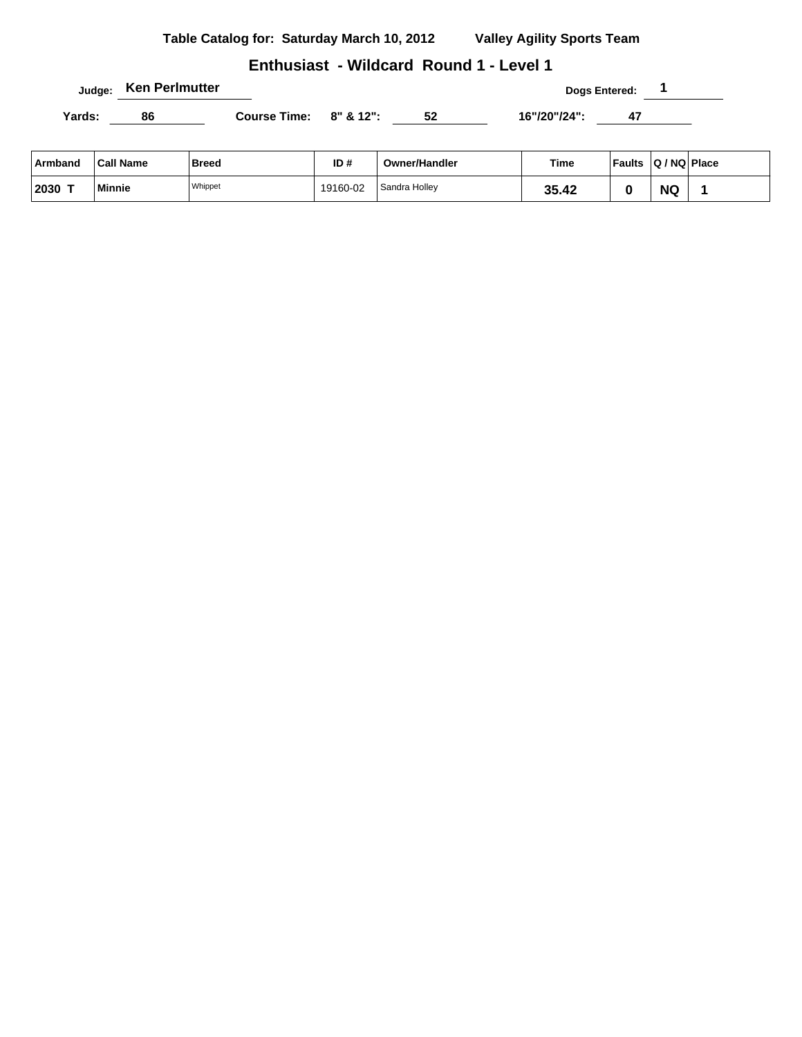# **Enthusiast - Wildcard Round 1 - Level 1**

**Judge:** Ken Perlmutter **1 Dogs Entered:** 1

| $A$ umband $A$ all Nama |    | <b>D</b> yssell        | 15.4 | Oumarllandlar | Time.        | $F_{\alpha}$ ulta $\alpha$ (NO Diago) |  |
|-------------------------|----|------------------------|------|---------------|--------------|---------------------------------------|--|
|                         |    |                        |      |               |              |                                       |  |
| Yards:                  | 86 | Course Time: 8" & 12": |      |               | 16"/20"/24": |                                       |  |

| Armband | <b>Call Name</b> | <b>Breed</b> | ID#      | <b>Owner/Handler</b> | Time  | <b>Faults</b> | Q / NQ   Place |  |
|---------|------------------|--------------|----------|----------------------|-------|---------------|----------------|--|
| 2030 T  | Minnie           | Whippet      | 19160-02 | Sandra Holley        | 35.42 |               | <b>NG</b>      |  |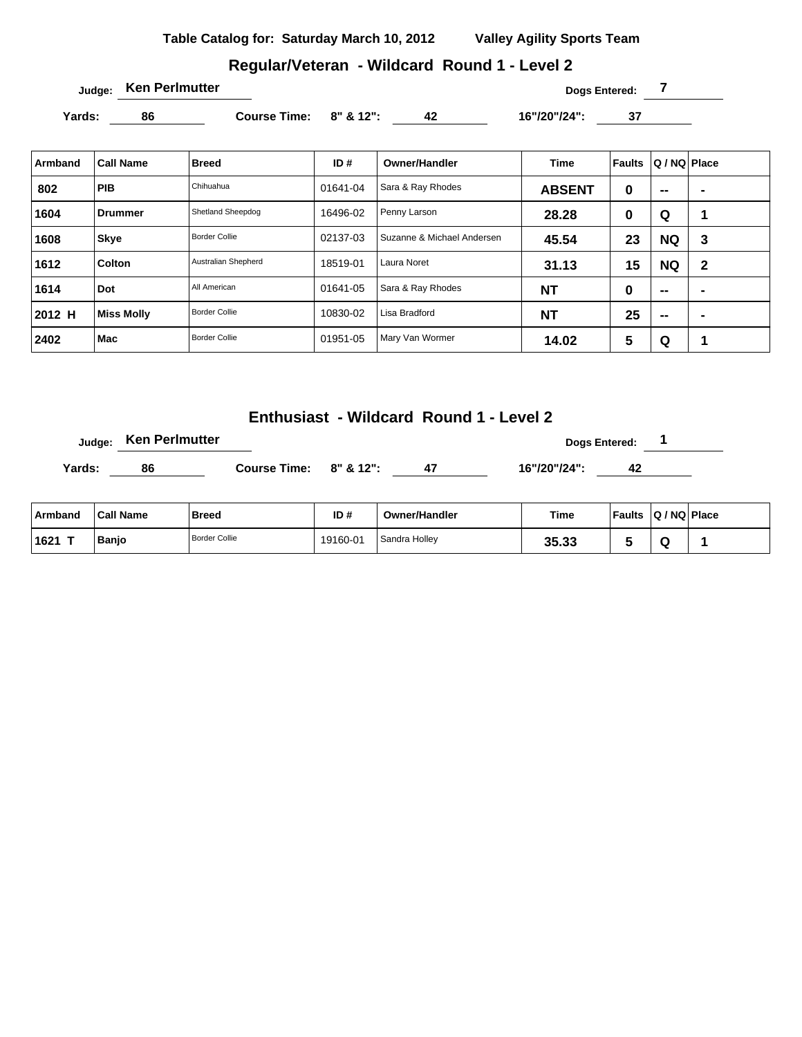# **Regular/Veteran - Wildcard Round 1 - Level 2**

Yards: 86 Course Time: 8" & 12": 42 16"/20"/24": 37

| Armband | <b>Call Name</b>  | <b>Breed</b>         | ID#      | <b>Owner/Handler</b>       | <b>Time</b>   | Faults | Q / NQ   Place |                |
|---------|-------------------|----------------------|----------|----------------------------|---------------|--------|----------------|----------------|
| 802     | <b>PIB</b>        | Chihuahua            | 01641-04 | Sara & Ray Rhodes          | <b>ABSENT</b> | 0      | $\sim$         | $\blacksquare$ |
| 1604    | Drummer           | Shetland Sheepdog    | 16496-02 | Penny Larson               | 28.28         | 0      | Q              | 1              |
| 1608    | <b>Skye</b>       | <b>Border Collie</b> | 02137-03 | Suzanne & Michael Andersen | 45.54         | 23     | <b>NQ</b>      | 3              |
| 1612    | Colton            | Australian Shepherd  | 18519-01 | Laura Noret                | 31.13         | 15     | <b>NQ</b>      | $\mathbf{2}$   |
| 1614    | <b>Dot</b>        | All American         | 01641-05 | Sara & Ray Rhodes          | <b>NT</b>     | 0      | $\sim$         | $\blacksquare$ |
| 2012 H  | <b>Miss Molly</b> | <b>Border Collie</b> | 10830-02 | Lisa Bradford              | <b>NT</b>     | 25     | $\sim$         | $\blacksquare$ |
| 2402    | Mac               | <b>Border Collie</b> | 01951-05 | Mary Van Wormer            | 14.02         | 5      | Q              | и              |

**Enthusiast - Wildcard Round 1 - Level 2**

|        | Judge: Ken Perlmutter |                          |    |              | <b>Dogs Entered:</b> |  |
|--------|-----------------------|--------------------------|----|--------------|----------------------|--|
| Yards: | 86                    | Course Time: $8"$ & 12": | 47 | 16"/20"/24": | 42                   |  |

| ⊦Armband | <b>Call Name</b> | <b>Breed</b>         | ID#      | <b>Owner/Handler</b> | Time  | <b>Faults</b> | $ Q/NQ $ Place |  |
|----------|------------------|----------------------|----------|----------------------|-------|---------------|----------------|--|
| 1621     | <b>Banio</b>     | <b>Border Collie</b> | 19160-01 | Sandra Holley        | 35.33 |               |                |  |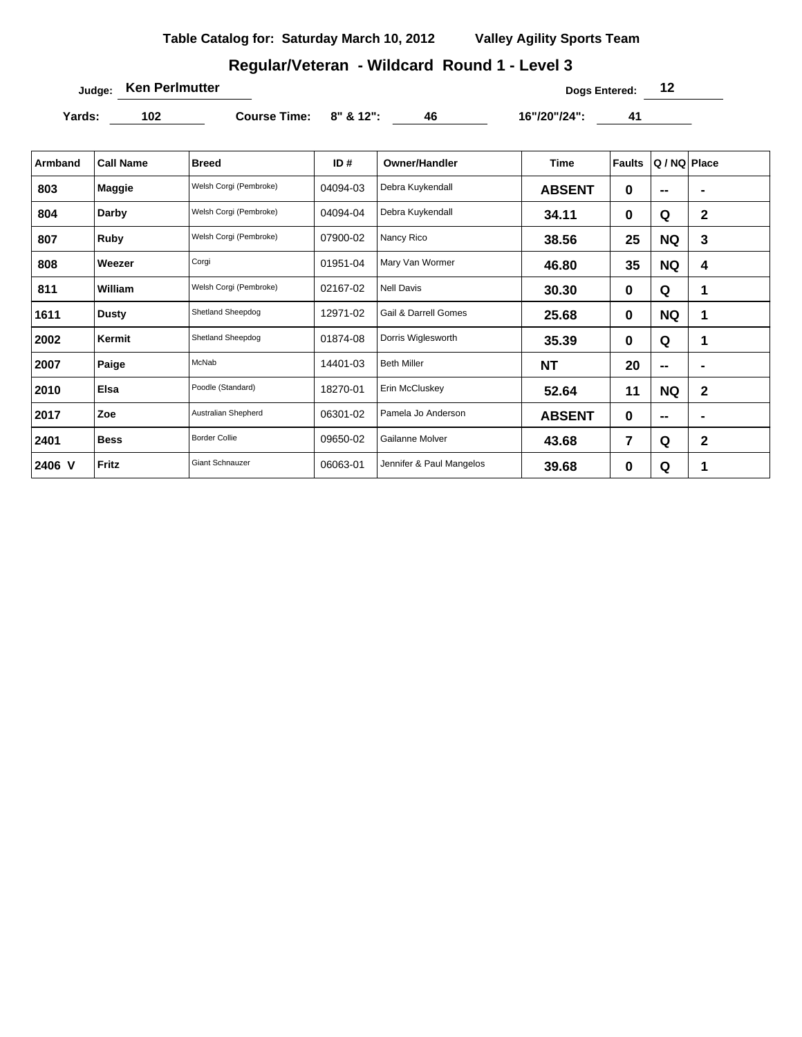## **Regular/Veteran - Wildcard Round 1 - Level 3**

**Judge: Ken Perlmutter Dogs Entered: 12** 

Yards: 102 **Course Time: 8" & 12":** 46 16"/20"/24": 41

| Armband | <b>Call Name</b> | <b>Breed</b>           | ID#      | <b>Owner/Handler</b>            | <b>Time</b>   | <b>Faults</b> | Q / NQ Place             |                |
|---------|------------------|------------------------|----------|---------------------------------|---------------|---------------|--------------------------|----------------|
| 803     | Maggie           | Welsh Corgi (Pembroke) | 04094-03 | Debra Kuykendall                | <b>ABSENT</b> | 0             | --                       | $\blacksquare$ |
| 804     | Darby            | Welsh Corgi (Pembroke) | 04094-04 | Debra Kuykendall                | 34.11         | $\mathbf 0$   | Q                        | $\mathbf 2$    |
| 807     | Ruby             | Welsh Corgi (Pembroke) | 07900-02 | Nancy Rico                      | 38.56         | 25            | <b>NQ</b>                | 3              |
| 808     | Weezer           | Corgi                  | 01951-04 | Mary Van Wormer                 | 46.80         | 35            | <b>NQ</b>                | 4              |
| 811     | William          | Welsh Corgi (Pembroke) | 02167-02 | <b>Nell Davis</b>               | 30.30         | 0             | Q                        | 1              |
| 1611    | <b>Dusty</b>     | Shetland Sheepdog      | 12971-02 | <b>Gail &amp; Darrell Gomes</b> | 25.68         | 0             | <b>NQ</b>                | -1             |
| 2002    | Kermit           | Shetland Sheepdog      | 01874-08 | Dorris Wiglesworth              | 35.39         | 0             | Q                        | $\mathbf 1$    |
| 2007    | Paige            | McNab                  | 14401-03 | <b>Beth Miller</b>              | <b>NT</b>     | 20            | $\overline{\phantom{a}}$ |                |
| 2010    | Elsa             | Poodle (Standard)      | 18270-01 | Erin McCluskey                  | 52.64         | 11            | <b>NQ</b>                | $\mathbf 2$    |
| 2017    | Zoe              | Australian Shepherd    | 06301-02 | Pamela Jo Anderson              | <b>ABSENT</b> | 0             | $\overline{\phantom{a}}$ | $\blacksquare$ |
| 2401    | <b>Bess</b>      | <b>Border Collie</b>   | 09650-02 | Gailanne Molver                 | 43.68         | 7             | Q                        | $\mathbf 2$    |
| 2406 V  | <b>Fritz</b>     | <b>Giant Schnauzer</b> | 06063-01 | Jennifer & Paul Mangelos        | 39.68         | 0             | Q                        |                |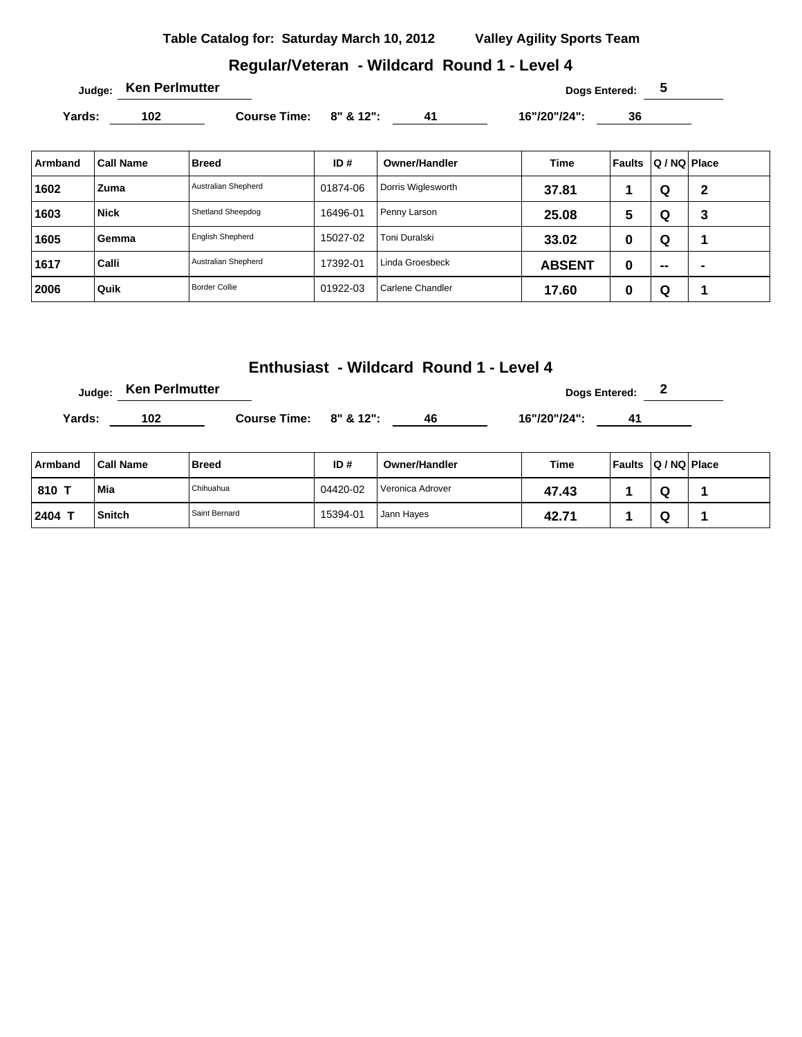#### **Regular/Veteran - Wildcard Round 1 - Level 4**

Yards: 102 **Course Time:** 8" & 12": 41 16"/20"/24": 36

| Armband | <b>Call Name</b> | Breed                | ID#      | <b>Owner/Handler</b> | Time          | Faults | Q / NQ Place |   |
|---------|------------------|----------------------|----------|----------------------|---------------|--------|--------------|---|
| 1602    | Zuma             | Australian Shepherd  | 01874-06 | Dorris Wiglesworth   | 37.81         |        | Q            | 2 |
| 1603    | <b>Nick</b>      | Shetland Sheepdog    | 16496-01 | Penny Larson         | 25.08         | 5      | Q            | 3 |
| 1605    | Gemma            | English Shepherd     | 15027-02 | Toni Duralski        | 33.02         | 0      | Q            |   |
| 1617    | Calli            | Australian Shepherd  | 17392-01 | Linda Groesbeck      | <b>ABSENT</b> | 0      | --           |   |
| 2006    | Quik             | <b>Border Collie</b> | 01922-03 | Carlene Chandler     | 17.60         | 0      | Q            |   |

### **Enthusiast - Wildcard Round 1 - Level 4**

**Judge:** Ken Perlmutter **Dogs Entered:** 2

**Yards: 102 Course Time: 8" & 12": 46 16"/20"/24": 41** 

| Armband | <b>Call Name</b> | <b>Breed</b>  | ID#      | <b>Owner/Handler</b> | Time  | Faults Q / NQ Place |  |
|---------|------------------|---------------|----------|----------------------|-------|---------------------|--|
| 810 T   | Mia              | Chihuahua     | 04420-02 | Veronica Adrover     | 47.43 |                     |  |
| 2404    | <b>Snitch</b>    | Saint Bernard | 15394-01 | Jann Hayes           | 42.71 |                     |  |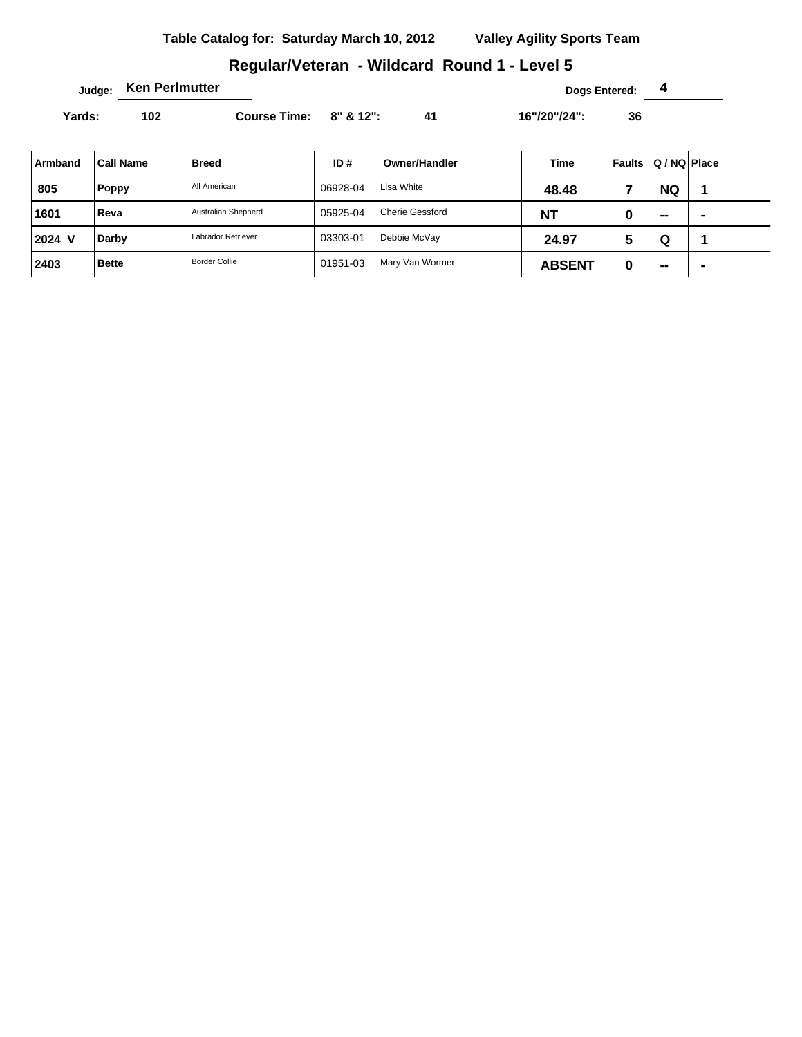## **Regular/Veteran - Wildcard Round 1 - Level 5**

**Judge:** Ken Perlmutter **1 Compared: 4 Dogs Entered: 4** 

Yards: 102 **Course Time: 8" & 12":** 41 16"/20"/24": 36

| Armband | <b>Call Name</b> | <b>Breed</b>         | ID#      | Owner/Handler          | Time          | Faults | Q / NQ Place |                |
|---------|------------------|----------------------|----------|------------------------|---------------|--------|--------------|----------------|
| 805     | <b>Poppy</b>     | All American         | 06928-04 | Lisa White             | 48.48         |        | <b>NQ</b>    |                |
| 1601    | Reva             | Australian Shepherd  | 05925-04 | <b>Cherie Gessford</b> | <b>NT</b>     | u      | $\sim$       | $\blacksquare$ |
| 2024 V  | Darby            | Labrador Retriever   | 03303-01 | Debbie McVay           | 24.97         | 5      | Q            |                |
| 2403    | <b>Bette</b>     | <b>Border Collie</b> | 01951-03 | Mary Van Wormer        | <b>ABSENT</b> | υ      | --           | $\blacksquare$ |